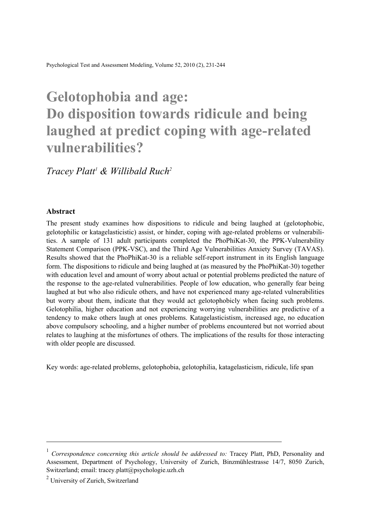# **Gelotophobia and age: Do disposition towards ridicule and being laughed at predict coping with age-related vulnerabilities?**

# *Tracey Platt1 & Willibald Ruch2*

#### **Abstract**

The present study examines how dispositions to ridicule and being laughed at (gelotophobic, gelotophilic or katagelasticistic) assist, or hinder, coping with age-related problems or vulnerabilities. A sample of 131 adult participants completed the PhoPhiKat-30, the PPK-Vulnerability Statement Comparison (PPK-VSC), and the Third Age Vulnerabilities Anxiety Survey (TAVAS). Results showed that the PhoPhiKat-30 is a reliable self-report instrument in its English language form. The dispositions to ridicule and being laughed at (as measured by the PhoPhiKat-30) together with education level and amount of worry about actual or potential problems predicted the nature of the response to the age-related vulnerabilities. People of low education, who generally fear being laughed at but who also ridicule others, and have not experienced many age-related vulnerabilities but worry about them, indicate that they would act gelotophobicly when facing such problems. Gelotophilia, higher education and not experiencing worrying vulnerabilities are predictive of a tendency to make others laugh at ones problems. Katagelasticistism, increased age, no education above compulsory schooling, and a higher number of problems encountered but not worried about relates to laughing at the misfortunes of others. The implications of the results for those interacting with older people are discussed.

Key words: age-related problems, gelotophobia, gelotophilia, katagelasticism, ridicule, life span

l

<sup>1</sup> *Correspondence concerning this article should be addressed to:* Tracey Platt, PhD, Personality and Assessment, Department of Psychology, University of Zurich, Binzmühlestrasse 14/7, 8050 Zurich, Switzerland; email: tracey.platt@psychologie.uzh.ch

<sup>&</sup>lt;sup>2</sup> University of Zurich, Switzerland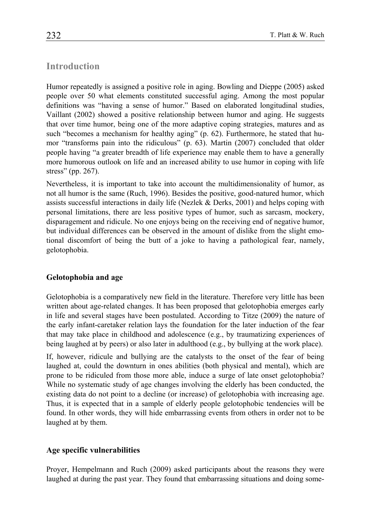# **Introduction**

Humor repeatedly is assigned a positive role in aging. Bowling and Dieppe (2005) asked people over 50 what elements constituted successful aging. Among the most popular definitions was "having a sense of humor." Based on elaborated longitudinal studies, Vaillant (2002) showed a positive relationship between humor and aging. He suggests that over time humor, being one of the more adaptive coping strategies, matures and as such "becomes a mechanism for healthy aging" (p. 62). Furthermore, he stated that humor "transforms pain into the ridiculous" (p. 63). Martin (2007) concluded that older people having "a greater breadth of life experience may enable them to have a generally more humorous outlook on life and an increased ability to use humor in coping with life stress" (pp. 267).

Nevertheless, it is important to take into account the multidimensionality of humor, as not all humor is the same (Ruch, 1996). Besides the positive, good-natured humor, which assists successful interactions in daily life (Nezlek  $&$  Derks, 2001) and helps coping with personal limitations, there are less positive types of humor, such as sarcasm, mockery, disparagement and ridicule. No one enjoys being on the receiving end of negative humor, but individual differences can be observed in the amount of dislike from the slight emotional discomfort of being the butt of a joke to having a pathological fear, namely, gelotophobia.

# **Gelotophobia and age**

Gelotophobia is a comparatively new field in the literature. Therefore very little has been written about age-related changes. It has been proposed that gelotophobia emerges early in life and several stages have been postulated. According to Titze (2009) the nature of the early infant-caretaker relation lays the foundation for the later induction of the fear that may take place in childhood and adolescence (e.g., by traumatizing experiences of being laughed at by peers) or also later in adulthood (e.g., by bullying at the work place).

If, however, ridicule and bullying are the catalysts to the onset of the fear of being laughed at, could the downturn in ones abilities (both physical and mental), which are prone to be ridiculed from those more able, induce a surge of late onset gelotophobia? While no systematic study of age changes involving the elderly has been conducted, the existing data do not point to a decline (or increase) of gelotophobia with increasing age. Thus, it is expected that in a sample of elderly people gelotophobic tendencies will be found. In other words, they will hide embarrassing events from others in order not to be laughed at by them.

# **Age specific vulnerabilities**

Proyer, Hempelmann and Ruch (2009) asked participants about the reasons they were laughed at during the past year. They found that embarrassing situations and doing some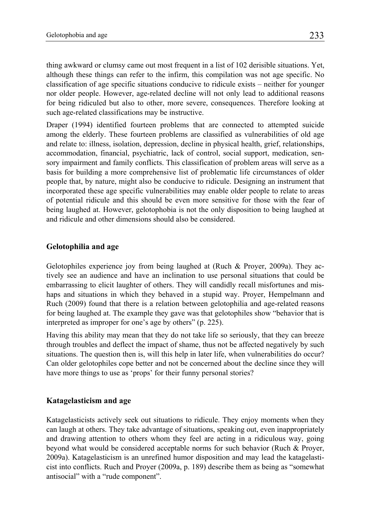thing awkward or clumsy came out most frequent in a list of 102 derisible situations. Yet, although these things can refer to the infirm, this compilation was not age specific. No classification of age specific situations conducive to ridicule exists – neither for younger nor older people. However, age-related decline will not only lead to additional reasons for being ridiculed but also to other, more severe, consequences. Therefore looking at such age-related classifications may be instructive.

Draper (1994) identified fourteen problems that are connected to attempted suicide among the elderly. These fourteen problems are classified as vulnerabilities of old age and relate to: illness, isolation, depression, decline in physical health, grief, relationships, accommodation, financial, psychiatric, lack of control, social support, medication, sensory impairment and family conflicts. This classification of problem areas will serve as a basis for building a more comprehensive list of problematic life circumstances of older people that, by nature, might also be conducive to ridicule. Designing an instrument that incorporated these age specific vulnerabilities may enable older people to relate to areas of potential ridicule and this should be even more sensitive for those with the fear of being laughed at. However, gelotophobia is not the only disposition to being laughed at and ridicule and other dimensions should also be considered.

# **Gelotophilia and age**

Gelotophiles experience joy from being laughed at (Ruch & Proyer, 2009a). They actively see an audience and have an inclination to use personal situations that could be embarrassing to elicit laughter of others. They will candidly recall misfortunes and mishaps and situations in which they behaved in a stupid way. Proyer, Hempelmann and Ruch (2009) found that there is a relation between gelotophilia and age-related reasons for being laughed at. The example they gave was that gelotophiles show "behavior that is interpreted as improper for one's age by others" (p. 225).

Having this ability may mean that they do not take life so seriously, that they can breeze through troubles and deflect the impact of shame, thus not be affected negatively by such situations. The question then is, will this help in later life, when vulnerabilities do occur? Can older gelotophiles cope better and not be concerned about the decline since they will have more things to use as 'props' for their funny personal stories?

## **Katagelasticism and age**

Katagelasticists actively seek out situations to ridicule. They enjoy moments when they can laugh at others. They take advantage of situations, speaking out, even inappropriately and drawing attention to others whom they feel are acting in a ridiculous way, going beyond what would be considered acceptable norms for such behavior (Ruch & Proyer, 2009a). Katagelasticism is an unrefined humor disposition and may lead the katagelasticist into conflicts. Ruch and Proyer (2009a, p. 189) describe them as being as "somewhat antisocial" with a "rude component".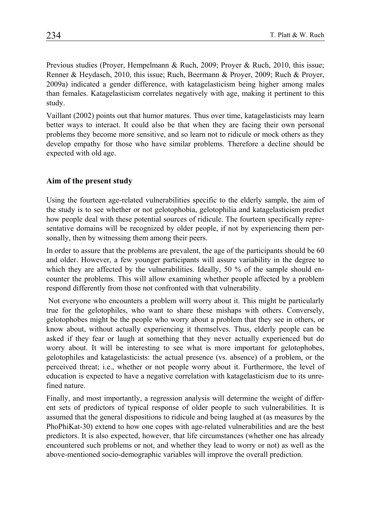Previous studies (Proyer, Hempelmann & Ruch, 2009; Proyer & Ruch, 2010, this issue; Renner & Heydasch, 2010, this issue; Ruch, Beermann & Proyer, 2009; Ruch & Proyer, 2009a) indicated a gender difference, with katagelasticism being higher among males than females. Katagelasticism correlates negatively with age, making it pertinent to this study.

Vaillant (2002) points out that humor matures. Thus over time, katagelasticists may learn better ways to interact. It could also be that when they are facing their own personal problems they become more sensitive, and so learn not to ridicule or mock others as they develop empathy for those who have similar problems. Therefore a decline should be expected with old age.

#### **Aim of the present study**

Using the fourteen age-related vulnerabilities specific to the elderly sample, the aim of the study is to see whether or not gelotophobia, gelotophilia and katagelasticism predict how people deal with these potential sources of ridicule. The fourteen specifically representative domains will be recognized by older people, if not by experiencing them personally, then by witnessing them among their peers.

In order to assure that the problems are prevalent, the age of the participants should be 60 and older. However, a few younger participants will assure variability in the degree to which they are affected by the vulnerabilities. Ideally, 50 % of the sample should encounter the problems. This will allow examining whether people affected by a problem respond differently from those not confronted with that vulnerability.

 Not everyone who encounters a problem will worry about it. This might be particularly true for the gelotophiles, who want to share these mishaps with others. Conversely, gelotophobes might be the people who worry about a problem that they see in others, or know about, without actually experiencing it themselves. Thus, elderly people can be asked if they fear or laugh at something that they never actually experienced but do worry about. It will be interesting to see what is more important for gelotophobes, gelotophiles and katagelasticists: the actual presence (vs. absence) of a problem, or the perceived threat; i.e., whether or not people worry about it. Furthermore, the level of education is expected to have a negative correlation with katagelasticism due to its unrefined nature.

Finally, and most importantly, a regression analysis will determine the weight of different sets of predictors of typical response of older people to such vulnerabilities. It is assumed that the general dispositions to ridicule and being laughed at (as measures by the PhoPhiKat-30) extend to how one copes with age-related vulnerabilities and are the best predictors. It is also expected, however, that life circumstances (whether one has already encountered such problems or not, and whether they lead to worry or not) as well as the above-mentioned socio-demographic variables will improve the overall prediction.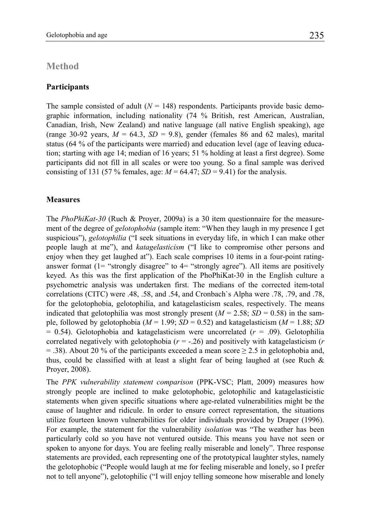## **Method**

#### **Participants**

The sample consisted of adult  $(N = 148)$  respondents. Participants provide basic demographic information, including nationality (74 % British, rest American, Australian, Canadian, Irish, New Zealand) and native language (all native English speaking), age (range 30-92 years,  $M = 64.3$ ,  $SD = 9.8$ ), gender (females 86 and 62 males), marital status (64 % of the participants were married) and education level (age of leaving education; starting with age 14; median of 16 years; 51 % holding at least a first degree). Some participants did not fill in all scales or were too young. So a final sample was derived consisting of 131 (57 % females, age:  $M = 64.47$ ;  $SD = 9.41$ ) for the analysis.

#### **Measures**

The *PhoPhiKat-30* (Ruch & Proyer, 2009a) is a 30 item questionnaire for the measurement of the degree of *gelotophobia* (sample item: "When they laugh in my presence I get suspicious"), *gelotophilia* ("I seek situations in everyday life, in which I can make other people laugh at me"), and *katagelasticism* ("I like to compromise other persons and enjoy when they get laughed at"). Each scale comprises 10 items in a four-point ratinganswer format  $(1 -$  "strongly disagree" to  $4 -$  "strongly agree"). All items are positively keyed. As this was the first application of the PhoPhiKat-30 in the English culture a psychometric analysis was undertaken first. The medians of the corrected item-total correlations (CITC) were .48, .58, and .54, and Cronbach`s Alpha were .78, .79, and .78, for the gelotophobia, gelotophilia, and katagelasticism scales, respectively. The means indicated that gelotophilia was most strongly present  $(M = 2.58; SD = 0.58)$  in the sample, followed by gelotophobia ( $M = 1.99$ ;  $SD = 0.52$ ) and katagelasticism ( $M = 1.88$ ; *SD* = 0.54). Gelotophobia and katagelasticism were uncorrelated (*r* = .09). Gelotophilia correlated negatively with gelotophobia (*r* = -.26) and positively with katagelasticism (*r*  = .38). About 20 % of the participants exceeded a mean score  $\geq$  2.5 in gelotophobia and, thus, could be classified with at least a slight fear of being laughed at (see Ruch  $\&$ Proyer, 2008).

The *PPK vulnerability statement comparison* (PPK-VSC; Platt, 2009) measures how strongly people are inclined to make gelotophobic, gelotophilic and katagelasticistic statements when given specific situations where age-related vulnerabilities might be the cause of laughter and ridicule. In order to ensure correct representation, the situations utilize fourteen known vulnerabilities for older individuals provided by Draper (1996). For example, the statement for the vulnerability *isolation* was "The weather has been particularly cold so you have not ventured outside. This means you have not seen or spoken to anyone for days. You are feeling really miserable and lonely". Three response statements are provided, each representing one of the prototypical laughter styles, namely the gelotophobic ("People would laugh at me for feeling miserable and lonely, so I prefer not to tell anyone"), gelotophilic ("I will enjoy telling someone how miserable and lonely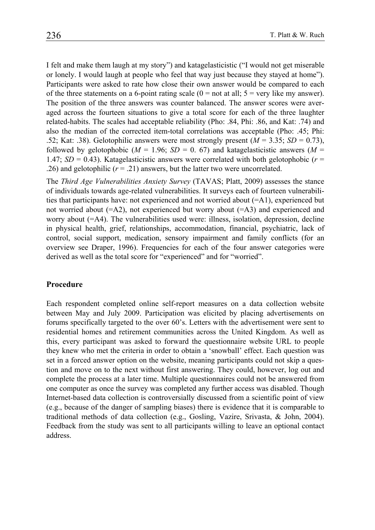I felt and make them laugh at my story") and katagelasticistic ("I would not get miserable or lonely. I would laugh at people who feel that way just because they stayed at home"). Participants were asked to rate how close their own answer would be compared to each of the three statements on a 6-point rating scale  $(0 = not at all; 5 = very like my answer)$ . The position of the three answers was counter balanced. The answer scores were averaged across the fourteen situations to give a total score for each of the three laughter related-habits. The scales had acceptable reliability (Pho: .84, Phi: .86, and Kat: .74) and also the median of the corrected item-total correlations was acceptable (Pho: .45; Phi: .52; Kat: .38). Gelotophilic answers were most strongly present  $(M = 3.35; SD = 0.73)$ , followed by gelotophobic ( $M = 1.96$ ;  $SD = 0.67$ ) and katagelasticistic answers ( $M =$ 1.47;  $SD = 0.43$ ). Katagelasticistic answers were correlated with both gelotophobic ( $r =$ .26) and gelotophilic  $(r = .21)$  answers, but the latter two were uncorrelated.

The *Third Age Vulnerabilities Anxiety Survey* (TAVAS; Platt, 2009) assesses the stance of individuals towards age-related vulnerabilities. It surveys each of fourteen vulnerabilities that participants have: not experienced and not worried about (=A1), experienced but not worried about  $(=A2)$ , not experienced but worry about  $(=A3)$  and experienced and worry about (=A4). The vulnerabilities used were: illness, isolation, depression, decline in physical health, grief, relationships, accommodation, financial, psychiatric, lack of control, social support, medication, sensory impairment and family conflicts (for an overview see Draper, 1996). Frequencies for each of the four answer categories were derived as well as the total score for "experienced" and for "worried".

#### **Procedure**

Each respondent completed online self-report measures on a data collection website between May and July 2009. Participation was elicited by placing advertisements on forums specifically targeted to the over 60's. Letters with the advertisement were sent to residential homes and retirement communities across the United Kingdom. As well as this, every participant was asked to forward the questionnaire website URL to people they knew who met the criteria in order to obtain a 'snowball' effect. Each question was set in a forced answer option on the website, meaning participants could not skip a question and move on to the next without first answering. They could, however, log out and complete the process at a later time. Multiple questionnaires could not be answered from one computer as once the survey was completed any further access was disabled. Though Internet-based data collection is controversially discussed from a scientific point of view (e.g., because of the danger of sampling biases) there is evidence that it is comparable to traditional methods of data collection (e.g., Gosling, Vazire, Srivasta, & John, 2004). Feedback from the study was sent to all participants willing to leave an optional contact address.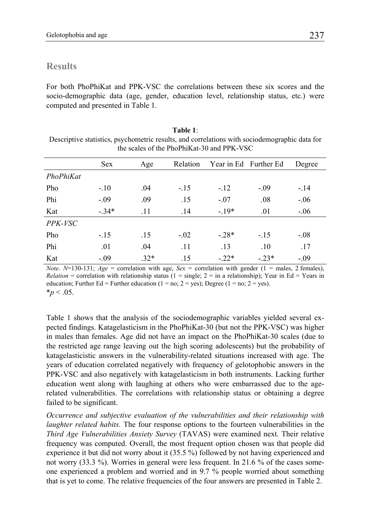# **Results**

For both PhoPhiKat and PPK-VSC the correlations between these six scores and the socio-demographic data (age, gender, education level, relationship status, etc.) were computed and presented in Table 1.

| Table 1:                                                                                      |  |  |  |  |
|-----------------------------------------------------------------------------------------------|--|--|--|--|
| Descriptive statistics, psychometric results, and correlations with sociodemographic data for |  |  |  |  |
| the scales of the PhoPhiKat-30 and PPK-VSC                                                    |  |  |  |  |

|           | <b>Sex</b> | Age    | Relation | Year in Ed Further Ed |         | Degree |
|-----------|------------|--------|----------|-----------------------|---------|--------|
| PhoPhiKat |            |        |          |                       |         |        |
| Pho       | $-.10$     | .04    | $-.15$   | $-.12$                | $-.09$  | $-.14$ |
| Phi       | $-.09$     | .09    | .15      | $-.07$                | .08     | $-.06$ |
| Kat       | $-.34*$    | .11    | .14      | $-19*$                | .01     | $-.06$ |
| PPK-VSC   |            |        |          |                       |         |        |
| Pho       | $-.15$     | .15    | $-.02$   | $-.28*$               | $-.15$  | $-.08$ |
| Phi       | .01        | .04    | .11      | .13                   | .10     | .17    |
| Kat       | $-.09$     | $.32*$ | .15      | $-.22*$               | $-.23*$ | $-.09$ |

*Note*.  $N=130-131$ ;  $Age = correlation with age$ ,  $Sex = correlation with gender$  (1 = males, 2 females), *Relation* = correlation with relationship status ( $1 = \text{single}$ ;  $2 = \text{in}$  a relationship); Year in Ed = Years in education; Further Ed = Further education (1 = no; 2 = yes); Degree (1 = no; 2 = yes).  $*_{p}$  < .05.

Table 1 shows that the analysis of the sociodemographic variables yielded several expected findings. Katagelasticism in the PhoPhiKat-30 (but not the PPK-VSC) was higher in males than females. Age did not have an impact on the PhoPhiKat-30 scales (due to the restricted age range leaving out the high scoring adolescents) but the probability of katagelasticistic answers in the vulnerability-related situations increased with age. The years of education correlated negatively with frequency of gelotophobic answers in the PPK-VSC and also negatively with katagelasticism in both instruments. Lacking further education went along with laughing at others who were embarrassed due to the agerelated vulnerabilities. The correlations with relationship status or obtaining a degree failed to be significant.

*Occurrence and subjective evaluation of the vulnerabilities and their relationship with laughter related habits.* The four response options to the fourteen vulnerabilities in the *Third Age Vulnerabilities Anxiety Survey* (TAVAS) were examined next. Their relative frequency was computed. Overall, the most frequent option chosen was that people did experience it but did not worry about it (35.5 %) followed by not having experienced and not worry (33.3 %). Worries in general were less frequent. In 21.6 % of the cases someone experienced a problem and worried and in 9.7 % people worried about something that is yet to come. The relative frequencies of the four answers are presented in Table 2.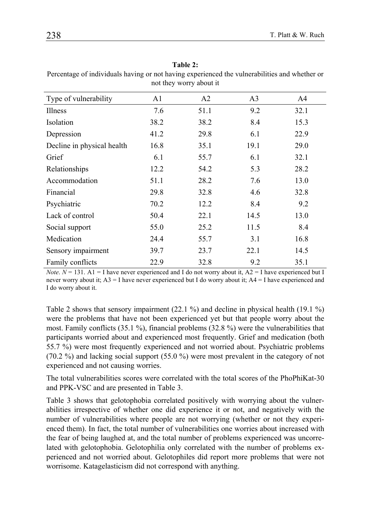|                            |      | noi in'y won't avout n' |                |      |
|----------------------------|------|-------------------------|----------------|------|
| Type of vulnerability      | A1   | A2                      | A <sub>3</sub> | A4   |
| Illness                    | 7.6  | 51.1                    | 9.2            | 32.1 |
| Isolation                  | 38.2 | 38.2                    | 8.4            | 15.3 |
| Depression                 | 41.2 | 29.8                    | 6.1            | 22.9 |
| Decline in physical health | 16.8 | 35.1                    | 19.1           | 29.0 |
| Grief                      | 6.1  | 55.7                    | 6.1            | 32.1 |
| Relationships              | 12.2 | 54.2                    | 5.3            | 28.2 |
| Accommodation              | 51.1 | 28.2                    | 7.6            | 13.0 |
| Financial                  | 29.8 | 32.8                    | 4.6            | 32.8 |
| Psychiatric                | 70.2 | 12.2                    | 8.4            | 9.2  |
| Lack of control            | 50.4 | 22.1                    | 14.5           | 13.0 |
| Social support             | 55.0 | 25.2                    | 11.5           | 8.4  |
| Medication                 | 24.4 | 55.7                    | 3.1            | 16.8 |
| Sensory impairment         | 39.7 | 23.7                    | 22.1           | 14.5 |
| Family conflicts           | 22.9 | 32.8                    | 9.2            | 35.1 |

**Table 2:** 

Percentage of individuals having or not having experienced the vulnerabilities and whether or not they worry about it

*Note*.  $N = 131$ . A1 = I have never experienced and I do not worry about it,  $A2 = I$  have experienced but I never worry about it; A3 = I have never experienced but I do worry about it; A4 = I have experienced and I do worry about it.

Table 2 shows that sensory impairment (22.1 %) and decline in physical health (19.1 %) were the problems that have not been experienced yet but that people worry about the most. Family conflicts (35.1 %), financial problems (32.8 %) were the vulnerabilities that participants worried about and experienced most frequently. Grief and medication (both 55.7 %) were most frequently experienced and not worried about. Psychiatric problems (70.2 %) and lacking social support (55.0 %) were most prevalent in the category of not experienced and not causing worries.

The total vulnerabilities scores were correlated with the total scores of the PhoPhiKat-30 and PPK-VSC and are presented in Table 3.

Table 3 shows that gelotophobia correlated positively with worrying about the vulnerabilities irrespective of whether one did experience it or not, and negatively with the number of vulnerabilities where people are not worrying (whether or not they experienced them). In fact, the total number of vulnerabilities one worries about increased with the fear of being laughed at, and the total number of problems experienced was uncorrelated with gelotophobia. Gelotophilia only correlated with the number of problems experienced and not worried about. Gelotophiles did report more problems that were not worrisome. Katagelasticism did not correspond with anything.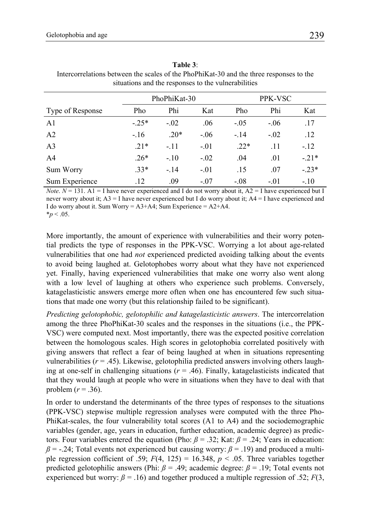|                  | PhoPhiKat-30 |        |        | PPK-VSC |        |         |
|------------------|--------------|--------|--------|---------|--------|---------|
| Type of Response | Pho          | Phi    | Kat    | Pho     | Phi    | Kat     |
| A1               | $-25*$       | $-.02$ | .06    | $-.05$  | $-.06$ | .17     |
| A <sub>2</sub>   | $-.16$       | $.20*$ | $-.06$ | $-14$   | $-.02$ | .12     |
| A <sub>3</sub>   | $21*$        | $-.11$ | $-.01$ | $.22*$  | .11    | $-.12$  |
| A <sub>4</sub>   | $.26*$       | $-.10$ | $-.02$ | .04     | .01    | $-.21*$ |
| Sum Worry        | $33*$        | $-14$  | $-.01$ | .15     | .07    | $-.23*$ |
| Sum Experience   | .12          | .09    | $-.07$ | $-.08$  | $-.01$ | $-.10$  |

**Table 3**: Intercorrelations between the scales of the PhoPhiKat-30 and the three responses to the situations and the responses to the vulnerabilities

*Note*.  $N = 131$ . A1 = I have never experienced and I do not worry about it,  $A2 = I$  have experienced but I never worry about it; A3 = I have never experienced but I do worry about it; A4 = I have experienced and I do worry about it. Sum Worry =  $A3+A4$ ; Sum Experience =  $A2+A4$ .  $*_{p}$  < .05.

More importantly, the amount of experience with vulnerabilities and their worry potential predicts the type of responses in the PPK-VSC. Worrying a lot about age-related vulnerabilities that one had *not* experienced predicted avoiding talking about the events to avoid being laughed at. Gelotophobes worry about what they have not experienced yet. Finally, having experienced vulnerabilities that make one worry also went along with a low level of laughing at others who experience such problems. Conversely, katagelasticistic answers emerge more often when one has encountered few such situations that made one worry (but this relationship failed to be significant).

*Predicting gelotophobic, gelotophilic and katagelasticistic answers*. The intercorrelation among the three PhoPhiKat-30 scales and the responses in the situations (i.e., the PPK-VSC) were computed next. Most importantly, there was the expected positive correlation between the homologous scales. High scores in gelotophobia correlated positively with giving answers that reflect a fear of being laughed at when in situations representing vulnerabilities  $(r = .45)$ . Likewise, gelotophilia predicted answers involving others laughing at one-self in challenging situations  $(r = .46)$ . Finally, katagelasticists indicated that that they would laugh at people who were in situations when they have to deal with that problem  $(r = .36)$ .

In order to understand the determinants of the three types of responses to the situations (PPK-VSC) stepwise multiple regression analyses were computed with the three Pho-PhiKat-scales, the four vulnerability total scores (A1 to A4) and the sociodemographic variables (gender, age, years in education, further education, academic degree) as predictors. Four variables entered the equation (Pho:  $\beta = .32$ ; Kat:  $\beta = .24$ ; Years in education:  $\beta$  = -.24; Total events not experienced but causing worry:  $\beta$  = .19) and produced a multiple regression cofficient of .59;  $F(4, 125) = 16.348$ ,  $p < .05$ . Three variables together predicted gelotophilic answers (Phi:  $\beta$  = .49; academic degree:  $\beta$  = .19; Total events not experienced but worry:  $\beta = 0.16$  and together produced a multiple regression of .52; *F*(3,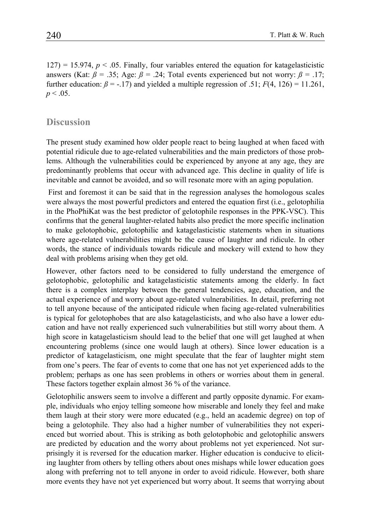$127$ ) = 15.974,  $p < .05$ . Finally, four variables entered the equation for katagelasticistic answers (Kat:  $\beta$  = .35; Age:  $\beta$  = .24; Total events experienced but not worry:  $\beta$  = .17; further education:  $\beta = -17$ ) and yielded a multiple regression of .51;  $F(4, 126) = 11.261$ ,  $p < .05$ .

# **Discussion**

The present study examined how older people react to being laughed at when faced with potential ridicule due to age-related vulnerabilities and the main predictors of those problems. Although the vulnerabilities could be experienced by anyone at any age, they are predominantly problems that occur with advanced age. This decline in quality of life is inevitable and cannot be avoided, and so will resonate more with an aging population.

 First and foremost it can be said that in the regression analyses the homologous scales were always the most powerful predictors and entered the equation first (i.e., gelotophilia in the PhoPhiKat was the best predictor of gelotophile responses in the PPK-VSC). This confirms that the general laughter-related habits also predict the more specific inclination to make gelotophobic, gelotophilic and katagelasticistic statements when in situations where age-related vulnerabilities might be the cause of laughter and ridicule. In other words, the stance of individuals towards ridicule and mockery will extend to how they deal with problems arising when they get old.

However, other factors need to be considered to fully understand the emergence of gelotophobic, gelotophilic and katagelasticistic statements among the elderly. In fact there is a complex interplay between the general tendencies, age, education, and the actual experience of and worry about age-related vulnerabilities. In detail, preferring not to tell anyone because of the anticipated ridicule when facing age-related vulnerabilities is typical for gelotophobes that are also katagelasticists, and who also have a lower education and have not really experienced such vulnerabilities but still worry about them. A high score in katagelasticism should lead to the belief that one will get laughed at when encountering problems (since one would laugh at others). Since lower education is a predictor of katagelasticism, one might speculate that the fear of laughter might stem from one's peers. The fear of events to come that one has not yet experienced adds to the problem; perhaps as one has seen problems in others or worries about them in general. These factors together explain almost 36 % of the variance.

Gelotophilic answers seem to involve a different and partly opposite dynamic. For example, individuals who enjoy telling someone how miserable and lonely they feel and make them laugh at their story were more educated (e.g., held an academic degree) on top of being a gelotophile. They also had a higher number of vulnerabilities they not experienced but worried about. This is striking as both gelotophobic and gelotophilic answers are predicted by education and the worry about problems not yet experienced. Not surprisingly it is reversed for the education marker. Higher education is conducive to eliciting laughter from others by telling others about ones mishaps while lower education goes along with preferring not to tell anyone in order to avoid ridicule. However, both share more events they have not yet experienced but worry about. It seems that worrying about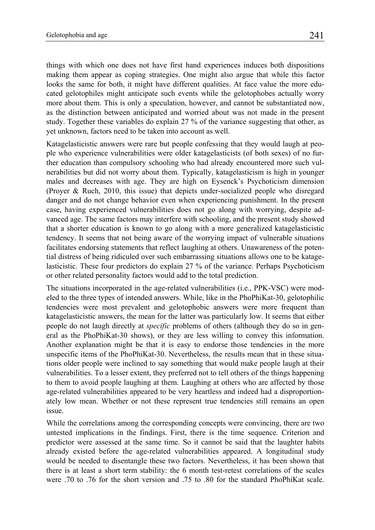things with which one does not have first hand experiences induces both dispositions making them appear as coping strategies. One might also argue that while this factor looks the same for both, it might have different qualities. At face value the more educated gelotophiles might anticipate such events while the gelotophobes actually worry more about them. This is only a speculation, however, and cannot be substantiated now, as the distinction between anticipated and worried about was not made in the present study. Together these variables do explain 27 % of the variance suggesting that other, as yet unknown, factors need to be taken into account as well.

Katagelasticistic answers were rare but people confessing that they would laugh at people who experience vulnerabilities were older katagelasticists (of both sexes) of no further education than compulsory schooling who had already encountered more such vulnerabilities but did not worry about them. Typically, katagelasticism is high in younger males and decreases with age. They are high on Eysenck's Psychoticism dimension (Proyer & Ruch, 2010, this issue) that depicts under-socialized people who disregard danger and do not change behavior even when experiencing punishment. In the present case, having experienced vulnerabilities does not go along with worrying, despite advanced age. The same factors may interfere with schooling, and the present study showed that a shorter education is known to go along with a more generalized katagelasticistic tendency. It seems that not being aware of the worrying impact of vulnerable situations facilitates endorsing statements that reflect laughing at others. Unawareness of the potential distress of being ridiculed over such embarrassing situations allows one to be katagelasticistic. These four predictors do explain 27 % of the variance. Perhaps Psychoticism or other related personality factors would add to the total prediction.

The situations incorporated in the age-related vulnerabilities (i.e., PPK-VSC) were modeled to the three types of intended answers. While, like in the PhoPhiKat-30, gelotophilic tendencies were most prevalent and gelotophobic answers were more frequent than katagelasticistic answers, the mean for the latter was particularly low. It seems that either people do not laugh directly at *specific* problems of others (although they do so in general as the PhoPhiKat-30 shows), or they are less willing to convey this information. Another explanation might be that it is easy to endorse those tendencies in the more unspecific items of the PhoPhiKat-30. Nevertheless, the results mean that in these situations older people were inclined to say something that would make people laugh at their vulnerabilities. To a lesser extent, they preferred not to tell others of the things happening to them to avoid people laughing at them. Laughing at others who are affected by those age-related vulnerabilities appeared to be very heartless and indeed had a disproportionately low mean. Whether or not these represent true tendencies still remains an open issue.

While the correlations among the corresponding concepts were convincing, there are two untested implications in the findings. First, there is the time sequence. Criterion and predictor were assessed at the same time. So it cannot be said that the laughter habits already existed before the age-related vulnerabilities appeared. A longitudinal study would be needed to disentangle these two factors. Nevertheless, it has been shown that there is at least a short term stability: the 6 month test-retest correlations of the scales were .70 to .76 for the short version and .75 to .80 for the standard PhoPhiKat scale.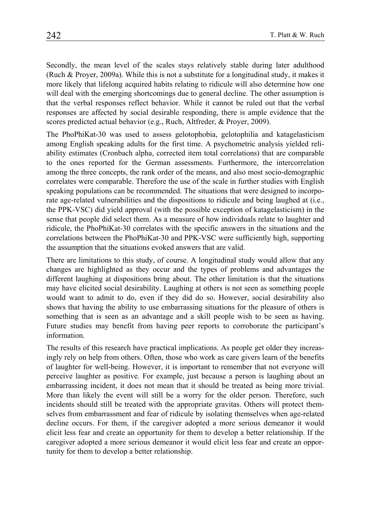Secondly, the mean level of the scales stays relatively stable during later adulthood (Ruch & Proyer, 2009a). While this is not a substitute for a longitudinal study, it makes it more likely that lifelong acquired habits relating to ridicule will also determine how one will deal with the emerging shortcomings due to general decline. The other assumption is that the verbal responses reflect behavior. While it cannot be ruled out that the verbal responses are affected by social desirable responding, there is ample evidence that the scores predicted actual behavior (e.g., Ruch, Altfreder, & Proyer, 2009).

The PhoPhiKat-30 was used to assess gelotophobia, gelotophilia and katagelasticism among English speaking adults for the first time. A psychometric analysis yielded reliability estimates (Cronbach alpha, corrected item total correlations) that are comparable to the ones reported for the German assessments. Furthermore, the intercorrelation among the three concepts, the rank order of the means, and also most socio-demographic correlates were comparable. Therefore the use of the scale in further studies with English speaking populations can be recommended. The situations that were designed to incorporate age-related vulnerabilities and the dispositions to ridicule and being laughed at (i.e., the PPK-VSC) did yield approval (with the possible exception of katagelasticism) in the sense that people did select them. As a measure of how individuals relate to laughter and ridicule, the PhoPhiKat-30 correlates with the specific answers in the situations and the correlations between the PhoPhiKat-30 and PPK-VSC were sufficiently high, supporting the assumption that the situations evoked answers that are valid.

There are limitations to this study, of course. A longitudinal study would allow that any changes are highlighted as they occur and the types of problems and advantages the different laughing at dispositions bring about. The other limitation is that the situations may have elicited social desirability. Laughing at others is not seen as something people would want to admit to do, even if they did do so. However, social desirability also shows that having the ability to use embarrassing situations for the pleasure of others is something that is seen as an advantage and a skill people wish to be seen as having. Future studies may benefit from having peer reports to corroborate the participant's information.

The results of this research have practical implications. As people get older they increasingly rely on help from others. Often, those who work as care givers learn of the benefits of laughter for well-being. However, it is important to remember that not everyone will perceive laughter as positive. For example, just because a person is laughing about an embarrassing incident, it does not mean that it should be treated as being more trivial. More than likely the event will still be a worry for the older person. Therefore, such incidents should still be treated with the appropriate gravitas. Others will protect themselves from embarrassment and fear of ridicule by isolating themselves when age-related decline occurs. For them, if the caregiver adopted a more serious demeanor it would elicit less fear and create an opportunity for them to develop a better relationship. If the caregiver adopted a more serious demeanor it would elicit less fear and create an opportunity for them to develop a better relationship.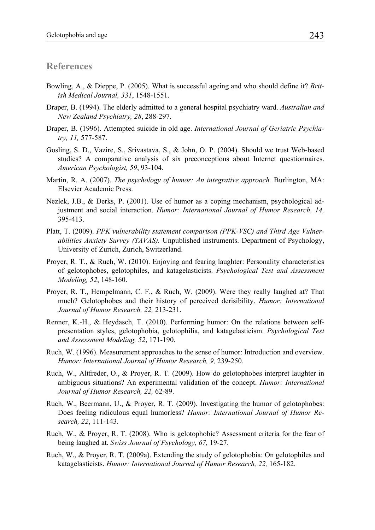## **References**

- Bowling, A., & Dieppe, P. (2005). What is successful ageing and who should define it? *British Medical Journal, 331*, 1548-1551.
- Draper, B. (1994). The elderly admitted to a general hospital psychiatry ward. *Australian and New Zealand Psychiatry, 28*, 288-297.
- Draper, B. (1996). Attempted suicide in old age. *International Journal of Geriatric Psychiatry, 11,* 577-587.
- Gosling, S. D., Vazire, S., Srivastava, S., & John, O. P. (2004). Should we trust Web-based studies? A comparative analysis of six preconceptions about Internet questionnaires. *American Psychologist, 59*, 93-104.
- Martin, R. A. (2007). *The psychology of humor: An integrative approach.* Burlington, MA: Elsevier Academic Press.
- Nezlek, J.B., & Derks, P. (2001). Use of humor as a coping mechanism, psychological adjustment and social interaction. *Humor: International Journal of Humor Research, 14,*  395-413.
- Platt, T. (2009). *PPK vulnerability statement comparison (PPK-VSC) and Third Age Vulnerabilities Anxiety Survey (TAVAS).* Unpublished instruments. Department of Psychology, University of Zurich, Zurich, Switzerland.
- Proyer, R. T., & Ruch, W. (2010). Enjoying and fearing laughter: Personality characteristics of gelotophobes, gelotophiles, and katagelasticists. *Psychological Test and Assessment Modeling, 52*, 148-160.
- Proyer, R. T., Hempelmann, C. F., & Ruch, W. (2009). Were they really laughed at? That much? Gelotophobes and their history of perceived derisibility. *Humor: International Journal of Humor Research, 22,* 213-231.
- Renner, K.-H., & Heydasch, T. (2010). Performing humor: On the relations between selfpresentation styles, gelotophobia, gelotophilia, and katagelasticism. *Psychological Test and Assessment Modeling, 52*, 171-190.
- Ruch, W. (1996). Measurement approaches to the sense of humor: Introduction and overview. *Humor: International Journal of Humor Research, 9,* 239-250*.*
- Ruch, W., Altfreder, O., & Proyer, R. T. (2009). How do gelotophobes interpret laughter in ambiguous situations? An experimental validation of the concept. *Humor: International Journal of Humor Research, 22,* 62-89.
- Ruch, W., Beermann, U., & Proyer, R. T. (2009). Investigating the humor of gelotophobes: Does feeling ridiculous equal humorless? *Humor: International Journal of Humor Research, 22*, 111-143.
- Ruch, W., & Proyer, R. T. (2008). Who is gelotophobic? Assessment criteria for the fear of being laughed at. *Swiss Journal of Psychology, 67,* 19-27.
- Ruch, W., & Proyer, R. T. (2009a). Extending the study of gelotophobia: On gelotophiles and katagelasticists. *Humor: International Journal of Humor Research, 22,* 165-182.